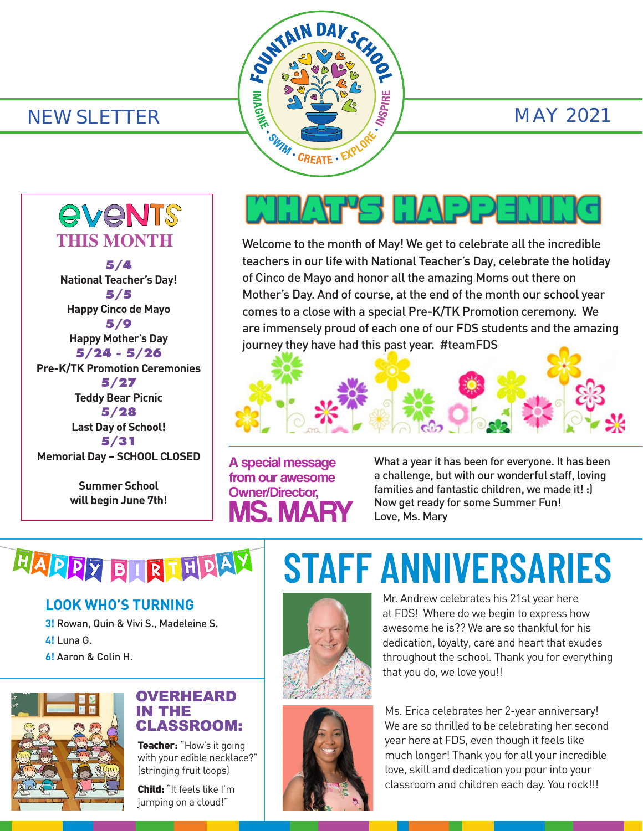

*<u>EVENTS</u>* **THIS MONTH 5/4 National Teacher's Day! 5/5 Happy Cinco de Mayo 5/9 Happy Mother's Day 5/24 - 5/26 Pre-K/TK Promotion Ceremonies 5/27 Teddy Bear Picnic 5/28 Last Day of School! 5/31 Memorial Day – SCHOOL CLOSED**

> **Summer School will begin June 7th!**

# AHAFYS MAPPER

Welcome to the month of May! We get to celebrate all the incredible teachers in our life with National Teacher's Day, celebrate the holiday of Cinco de Mayo and honor all the amazing Moms out there on Mother's Day. And of course, at the end of the month our school year comes to a close with a special Pre-K/TK Promotion ceremony. We are immensely proud of each one of our FDS students and the amazing journey they have had this past year. #teamFDS



A special message from our awesome Owner/Director, MS. MARY What a year it has been for everyone. It has been a challenge, but with our wonderful staff, loving families and fantastic children, we made it! :) Now get ready for some Summer Fun! Love, Ms. Mary

# HAPPY BLRI HDAY

## **LOOK WHO'S TURNING**

**3!** Rowan, Quin & Vivi S., Madeleine S. **4!** Luna G.

**6!** Aaron & Colin H.



#### OVERHEARD IN THE CLASSROOM:

Teacher: "How's it going with your edible necklace?" (stringing fruit loops)

Child: "It feels like I'm jumping on a cloud!"

# **STAFF ANNIVERSARIES**



Mr. Andrew celebrates his 21st year here at FDS! Where do we begin to express how awesome he is?? We are so thankful for his dedication, loyalty, care and heart that exudes throughout the school. Thank you for everything that you do, we love you!!



Ms. Erica celebrates her 2-year anniversary! We are so thrilled to be celebrating her second year here at FDS, even though it feels like much longer! Thank you for all your incredible love, skill and dedication you pour into your classroom and children each day. You rock!!!